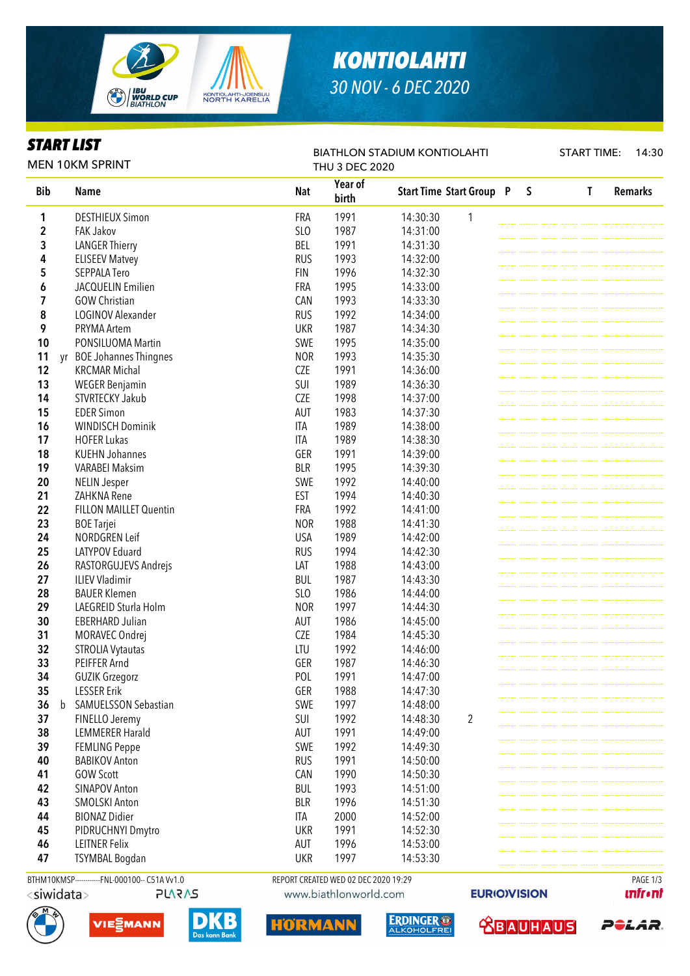

## *KONTIOLAHTI 30 NOV - 6 DEC 2020*

### *START LIST*

BIATHLON STADIUM KONTIOLAHTI

START TIME: 14:30

| <b>MEN 10KM SPRINT</b> |             |                                               |            | <b>THU 3 DEC 2020</b>                |                                 |   |              |              |                |
|------------------------|-------------|-----------------------------------------------|------------|--------------------------------------|---------------------------------|---|--------------|--------------|----------------|
| <b>Bib</b>             |             | <b>Name</b>                                   | <b>Nat</b> | Year of<br>birth                     | <b>Start Time Start Group P</b> |   | $\mathsf{S}$ | $\mathbf{T}$ | <b>Remarks</b> |
| 1                      |             | <b>DESTHIEUX Simon</b>                        | FRA        | 1991                                 | 14:30:30                        | 1 |              |              |                |
| 2                      |             | <b>FAK Jakov</b>                              | SLO        | 1987                                 | 14:31:00                        |   |              |              |                |
| 3                      |             | <b>LANGER Thierry</b>                         | <b>BEL</b> | 1991                                 | 14:31:30                        |   |              |              |                |
| 4                      |             | <b>ELISEEV Matvey</b>                         | <b>RUS</b> | 1993                                 | 14:32:00                        |   |              |              |                |
| 5                      |             | SEPPALA Tero                                  | <b>FIN</b> | 1996                                 | 14:32:30                        |   |              |              |                |
| 6                      |             | JACQUELIN Emilien                             | <b>FRA</b> | 1995                                 | 14:33:00                        |   |              |              |                |
| 7                      |             | <b>GOW Christian</b>                          | <b>CAN</b> | 1993                                 | 14:33:30                        |   |              |              |                |
| 8                      |             | LOGINOV Alexander                             | <b>RUS</b> | 1992                                 | 14:34:00                        |   |              |              |                |
| 9                      |             | PRYMA Artem                                   | <b>UKR</b> | 1987                                 | 14:34:30                        |   |              |              |                |
| 10                     |             | PONSILUOMA Martin                             | SWE        | 1995                                 | 14:35:00                        |   |              |              |                |
| 11                     | yr          | <b>BOE Johannes Thingnes</b>                  | <b>NOR</b> | 1993                                 | 14:35:30                        |   |              |              |                |
| 12                     |             | <b>KRCMAR Michal</b>                          | <b>CZE</b> | 1991                                 | 14:36:00                        |   |              |              |                |
| 13                     |             | <b>WEGER Benjamin</b>                         | SUI        | 1989                                 | 14:36:30                        |   |              |              |                |
| 14                     |             | STVRTECKY Jakub                               | <b>CZE</b> | 1998                                 | 14:37:00                        |   |              |              |                |
| 15                     |             | <b>EDER Simon</b>                             | AUT        | 1983                                 | 14:37:30                        |   |              |              |                |
| 16                     |             | <b>WINDISCH Dominik</b>                       | <b>ITA</b> | 1989                                 | 14:38:00                        |   |              |              |                |
| 17                     |             | <b>HOFER Lukas</b>                            | <b>ITA</b> | 1989                                 | 14:38:30                        |   |              |              |                |
| 18                     |             | <b>KUEHN Johannes</b>                         | GER        | 1991                                 | 14:39:00                        |   |              |              |                |
| 19                     |             | <b>VARABEI Maksim</b>                         | <b>BLR</b> | 1995                                 | 14:39:30                        |   |              |              |                |
| 20                     |             | <b>NELIN Jesper</b>                           | SWE        | 1992                                 | 14:40:00                        |   |              |              |                |
| 21                     |             | ZAHKNA Rene                                   |            | 1994                                 |                                 |   |              |              |                |
|                        |             |                                               | <b>EST</b> |                                      | 14:40:30                        |   |              |              |                |
| 22                     |             | FILLON MAILLET Quentin                        | FRA        | 1992                                 | 14:41:00                        |   |              |              |                |
| 23                     |             | <b>BOE</b> Tarjei                             | <b>NOR</b> | 1988                                 | 14:41:30                        |   |              |              |                |
| 24                     |             | NORDGREN Leif                                 | <b>USA</b> | 1989                                 | 14:42:00                        |   |              |              |                |
| 25                     |             | LATYPOV Eduard                                | <b>RUS</b> | 1994                                 | 14:42:30                        |   |              |              |                |
| 26                     |             | RASTORGUJEVS Andrejs                          | LAT        | 1988                                 | 14:43:00                        |   |              |              |                |
| 27                     |             | <b>ILIEV Vladimir</b>                         | <b>BUL</b> | 1987                                 | 14:43:30                        |   |              |              |                |
| 28                     |             | <b>BAUER Klemen</b>                           | SLO        | 1986                                 | 14:44:00                        |   |              |              |                |
| 29                     |             | LAEGREID Sturla Holm                          | <b>NOR</b> | 1997                                 | 14:44:30                        |   |              |              |                |
| 30                     |             | <b>EBERHARD Julian</b>                        | AUT        | 1986                                 | 14:45:00                        |   |              |              |                |
| 31                     |             | MORAVEC Ondrej                                | <b>CZE</b> | 1984                                 | 14:45:30                        |   |              |              |                |
| 32                     |             | <b>STROLIA Vytautas</b>                       | LTU        | 1992                                 | 14:46:00                        |   |              |              |                |
| 33                     |             | PEIFFER Arnd                                  | GER        | 1987                                 | 14:46:30                        |   |              |              |                |
| 34                     |             | <b>GUZIK Grzegorz</b>                         | POL        | 1991                                 | 14:47:00                        |   |              |              |                |
| 35                     |             | <b>LESSER Erik</b>                            | GER        | 1988                                 | 14:47:30                        |   |              |              |                |
| 36                     | $\mathsf b$ | <b>SAMUELSSON Sebastian</b>                   | SWE        | 1997                                 | 14:48:00                        |   |              |              |                |
| 37                     |             | FINELLO Jeremy                                | SUI        | 1992                                 | 14:48:30                        | 2 |              |              |                |
| 38                     |             | <b>LEMMERER Harald</b>                        | AUT        | 1991                                 | 14:49:00                        |   |              |              |                |
| 39                     |             | <b>FEMLING Peppe</b>                          | SWE        | 1992                                 | 14:49:30                        |   |              |              |                |
| 40                     |             | <b>BABIKOV Anton</b>                          | <b>RUS</b> | 1991                                 | 14:50:00                        |   |              |              |                |
| 41                     |             | <b>GOW Scott</b>                              | CAN        | 1990                                 | 14:50:30                        |   |              |              |                |
| 42                     |             | <b>SINAPOV Anton</b>                          | <b>BUL</b> | 1993                                 | 14:51:00                        |   |              |              |                |
| 43                     |             | <b>SMOLSKI Anton</b>                          | <b>BLR</b> | 1996                                 | 14:51:30                        |   |              |              |                |
| 44                     |             | <b>BIONAZ Didier</b>                          | ITA        | 2000                                 | 14:52:00                        |   |              |              |                |
| 45                     |             | PIDRUCHNYI Dmytro                             | <b>UKR</b> | 1991                                 | 14:52:30                        |   |              |              |                |
| 46                     |             | <b>LEITNER Felix</b>                          | AUT        | 1996                                 | 14:53:00                        |   |              |              |                |
| 47                     |             | <b>TSYMBAL Bogdan</b>                         | <b>UKR</b> | 1997                                 | 14:53:30                        |   |              |              |                |
|                        |             |                                               |            |                                      |                                 |   |              |              |                |
|                        |             | BTHM10KMSP------------FNL-000100-- C51A Vv1.0 |            | REPORT CREATED WED 02 DEC 2020 19:29 |                                 |   |              |              | PAGE 1/3       |

<siwidata> **PLARAS** 





www.biathlonworld.com

HÖRMA





**EURIOVISION** 



POLAR.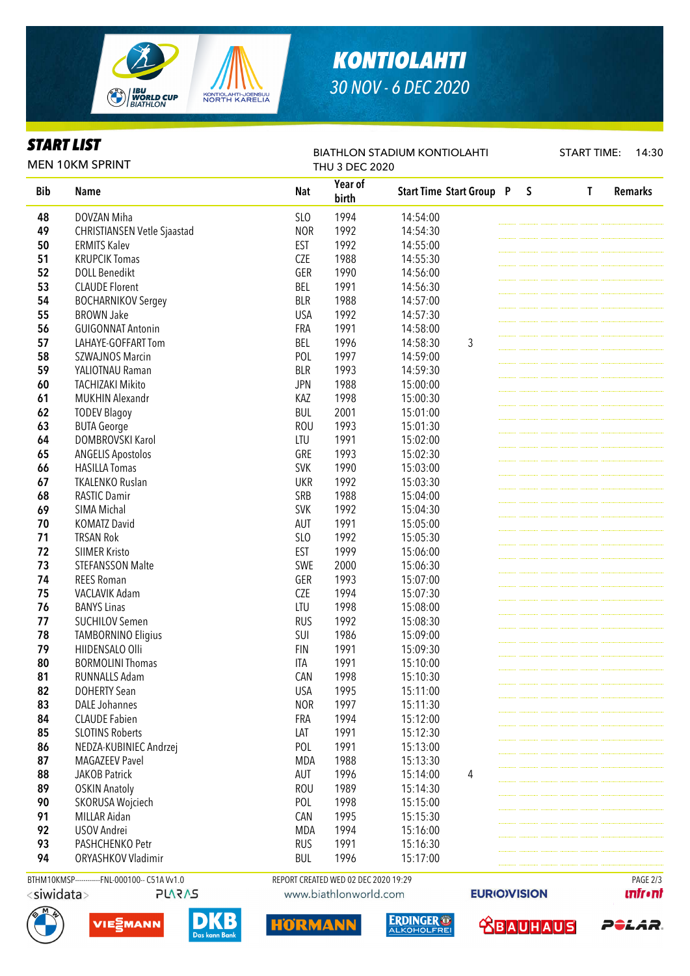

## *KONTIOLAHTI 30 NOV - 6 DEC 2020*

BIATHLON STADIUM KONTIOLAHTI

#### *START LIST*

START TIME: 14:30

|            | <b>MEN 10KM SPRINT</b>                       |            | <b>THU 3 DEC 2020</b>                |                                 |   |              |   |                |
|------------|----------------------------------------------|------------|--------------------------------------|---------------------------------|---|--------------|---|----------------|
| <b>Bib</b> | <b>Name</b>                                  | <b>Nat</b> | Year of<br>birth                     | <b>Start Time Start Group P</b> |   | $\mathsf{S}$ | T | <b>Remarks</b> |
| 48         | DOVZAN Miha                                  | <b>SLO</b> | 1994                                 | 14:54:00                        |   |              |   |                |
| 49         | <b>CHRISTIANSEN Vetle Sjaastad</b>           | <b>NOR</b> | 1992                                 | 14:54:30                        |   |              |   |                |
| 50         | <b>ERMITS Kalev</b>                          | <b>EST</b> | 1992                                 | 14:55:00                        |   |              |   |                |
| 51         | <b>KRUPCIK Tomas</b>                         | <b>CZE</b> | 1988                                 | 14:55:30                        |   |              |   |                |
| 52         | <b>DOLL Benedikt</b>                         | GER        | 1990                                 | 14:56:00                        |   |              |   |                |
| 53         | <b>CLAUDE Florent</b>                        | BEL        | 1991                                 | 14:56:30                        |   |              |   |                |
| 54         | <b>BOCHARNIKOV Sergey</b>                    | <b>BLR</b> | 1988                                 | 14:57:00                        |   |              |   |                |
| 55         | <b>BROWN Jake</b>                            | <b>USA</b> | 1992                                 | 14:57:30                        |   |              |   |                |
| 56         | <b>GUIGONNAT Antonin</b>                     | FRA        | 1991                                 | 14:58:00                        |   |              |   |                |
| 57         | LAHAYE-GOFFART Tom                           | BEL        | 1996                                 | 14:58:30                        | 3 |              |   |                |
| 58         | <b>SZWAJNOS Marcin</b>                       | POL        | 1997                                 | 14:59:00                        |   |              |   |                |
| 59         | YALIOTNAU Raman                              | <b>BLR</b> | 1993                                 | 14:59:30                        |   |              |   |                |
| 60         | <b>TACHIZAKI Mikito</b>                      | <b>JPN</b> | 1988                                 | 15:00:00                        |   |              |   |                |
| 61         | <b>MUKHIN Alexandr</b>                       | KAZ        | 1998                                 | 15:00:30                        |   |              |   |                |
| 62         | <b>TODEV Blagoy</b>                          | BUL        | 2001                                 | 15:01:00                        |   |              |   |                |
| 63         | <b>BUTA George</b>                           | <b>ROU</b> | 1993                                 | 15:01:30                        |   |              |   |                |
| 64         | <b>DOMBROVSKI Karol</b>                      | LTU        | 1991                                 | 15:02:00                        |   |              |   |                |
| 65         | <b>ANGELIS Apostolos</b>                     | GRE        | 1993                                 | 15:02:30                        |   |              |   |                |
| 66         | <b>HASILLA Tomas</b>                         | <b>SVK</b> | 1990                                 | 15:03:00                        |   |              |   |                |
| 67         | <b>TKALENKO Ruslan</b>                       | <b>UKR</b> | 1992                                 | 15:03:30                        |   |              |   |                |
| 68         | <b>RASTIC Damir</b>                          | SRB        | 1988                                 | 15:04:00                        |   |              |   |                |
| 69         | SIMA Michal                                  | <b>SVK</b> | 1992                                 | 15:04:30                        |   |              |   |                |
| 70         |                                              |            |                                      |                                 |   |              |   |                |
|            | <b>KOMATZ David</b>                          | <b>AUT</b> | 1991                                 | 15:05:00                        |   |              |   |                |
| 71         | <b>TRSAN Rok</b>                             | SLO        | 1992                                 | 15:05:30                        |   |              |   |                |
| 72         | <b>SIIMER Kristo</b>                         | <b>EST</b> | 1999                                 | 15:06:00                        |   |              |   |                |
| 73         | <b>STEFANSSON Malte</b>                      | SWE        | 2000                                 | 15:06:30                        |   |              |   |                |
| 74         | <b>REES Roman</b>                            | GER        | 1993                                 | 15:07:00                        |   |              |   |                |
| 75         | VACLAVIK Adam                                | <b>CZE</b> | 1994                                 | 15:07:30                        |   |              |   |                |
| 76         | <b>BANYS Linas</b>                           | LTU        | 1998                                 | 15:08:00                        |   |              |   |                |
| 77         | <b>SUCHILOV Semen</b>                        | <b>RUS</b> | 1992                                 | 15:08:30                        |   |              |   |                |
| 78         | <b>TAMBORNINO Eligius</b>                    | SUI        | 1986                                 | 15:09:00                        |   |              |   |                |
| 79         | HIIDENSALO Olli                              | <b>FIN</b> | 1991                                 | 15:09:30                        |   |              |   |                |
| 80         | <b>BORMOLINI Thomas</b>                      | ITA        | 1991                                 | 15:10:00                        |   |              |   |                |
| 81         | RUNNALLS Adam                                | CAN        | 1998                                 | 15:10:30                        |   |              |   |                |
| 82         | <b>DOHERTY Sean</b>                          | <b>USA</b> | 1995                                 | 15:11:00                        |   |              |   |                |
| 83         | <b>DALE Johannes</b>                         | <b>NOR</b> | 1997                                 | 15:11:30                        |   |              |   |                |
| 84         | <b>CLAUDE Fabien</b>                         | FRA        | 1994                                 | 15:12:00                        |   |              |   |                |
| 85         | <b>SLOTINS Roberts</b>                       | LAT        | 1991                                 | 15:12:30                        |   |              |   |                |
| 86         | NEDZA-KUBINIEC Andrzej                       | POL        | 1991                                 | 15:13:00                        |   |              |   |                |
| 87         | <b>MAGAZEEV Pavel</b>                        | MDA        | 1988                                 | 15:13:30                        |   |              |   |                |
| 88         | <b>JAKOB Patrick</b>                         | AUT        | 1996                                 | 15:14:00                        | 4 |              |   |                |
| 89         | <b>OSKIN Anatoly</b>                         | <b>ROU</b> | 1989                                 | 15:14:30                        |   |              |   |                |
| 90         | SKORUSA Wojciech                             | POL        | 1998                                 | 15:15:00                        |   |              |   |                |
| 91         | MILLAR Aidan                                 | CAN        | 1995                                 | 15:15:30                        |   |              |   |                |
| 92         | USOV Andrei                                  | MDA        | 1994                                 | 15:16:00                        |   |              |   |                |
| 93         | PASHCHENKO Petr                              | <b>RUS</b> | 1991                                 | 15:16:30                        |   |              |   |                |
| 94         | ORYASHKOV Vladimir                           | <b>BUL</b> | 1996                                 | 15:17:00                        |   |              |   |                |
|            |                                              |            |                                      |                                 |   |              |   |                |
|            | BTHM10KMSP------------FNL-000100-- C51AVv1.0 |            | REPORT CREATED WED 02 DEC 2020 19:29 |                                 |   |              |   | PAGE 2/3       |

<siwidata>







HORMA

**EURIOVISION** 

 **<u>CBAUHAUS</u>** 

ERDINGER O

*<u><u>Infront</u>*</u>

POLAR.